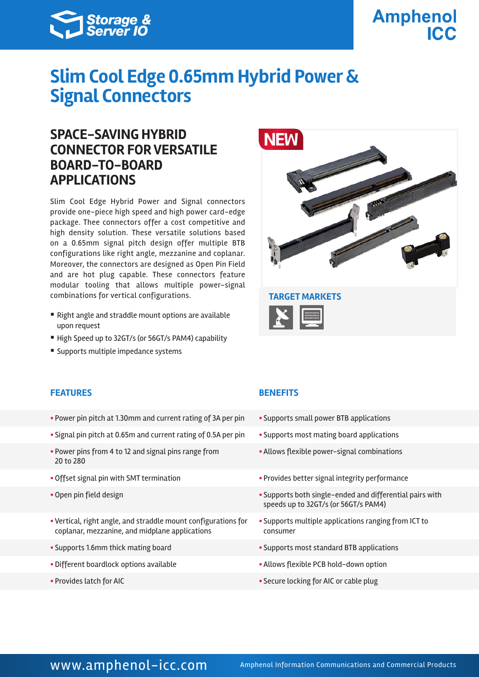

# **Amphenol ICC**

# **Slim Cool Edge 0.65mm Hybrid Power & Signal Connectors**

## **SPACE-SAVING HYBRID CONNECTOR FOR VERSATILE BOARD-TO-BOARD APPLICATIONS**

Slim Cool Edge Hybrid Power and Signal connectors provide one-piece high speed and high power card-edge package. Thee connectors offer a cost competitive and high density solution. These versatile solutions based on a 0.65mm signal pitch design offer multiple BTB configurations like right angle, mezzanine and coplanar. Moreover, the connectors are designed as Open Pin Field and are hot plug capable. These connectors feature modular tooling that allows multiple power-signal combinations for vertical configurations. **TARGET MARKETS**

- Right angle and straddle mount options are available upon request
- High Speed up to 32GT/s (or 56GT/s PAM4) capability
- Supports multiple impedance systems





### **FEATURES BENEFITS**

- Power pin pitch at 1.30mm and current rating of 3A per pin Supports small power BTB applications
- Signal pin pitch at 0.65m and current rating of 0.5A per pin Supports most mating board applications
- § Power pins from 4 to 12 and signal pins range from 20 to 280
- 
- 
- § Vertical, right angle, and straddle mount configurations for coplanar, mezzanine, and midplane applications
- 
- Different boardlock options available **in the set of the Second Yallows** flexible PCB hold-down option
- 

- 
- 
- **Allows flexible power-signal combinations**
- Offset signal pin with SMT termination  **Provides better signal integrity performance**
- Open pin field design **by Supports both single-ended and differential pairs with** speeds up to 32GT/s (or 56GT/s PAM4)
	- § Supports multiple applications ranging from ICT to consumer
- § Supports 1.6mm thick mating board § Supports most standard BTB applications
	-
- § Provides latch for AIC § Secure locking for AIC or cable plug

## www.amphenol-icc.com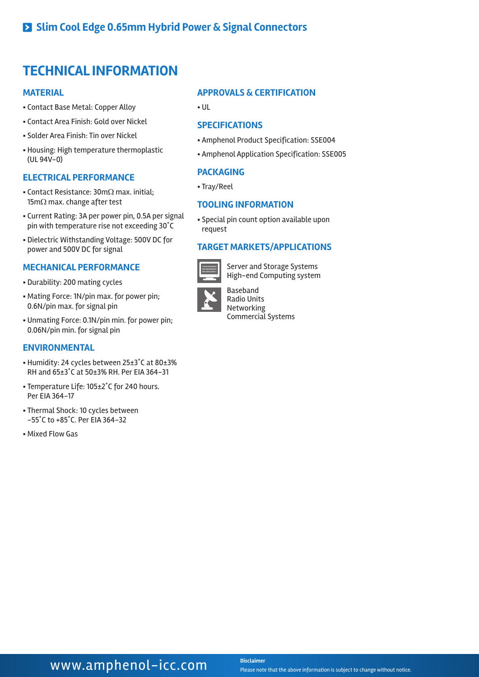## **TECHNICAL INFORMATION**

#### **MATERIAL**

- § Contact Base Metal: Copper Alloy
- § Contact Area Finish: Gold over Nickel
- § Solder Area Finish: Tin over Nickel
- § Housing: High temperature thermoplastic (UL 94V-0)

#### **ELECTRICAL PERFORMANCE**

- § Contact Resistance: 30mΩ max. initial; 15mΩ max. change after test
- § Current Rating: 3A per power pin, 0.5A per signal pin with temperature rise not exceeding 30˚C
- § Dielectric Withstanding Voltage: 500V DC for power and 500V DC for signal

#### **MECHANICAL PERFORMANCE**

- § Durability: 200 mating cycles
- § Mating Force: 1N/pin max. for power pin; 0.6N/pin max. for signal pin
- § Unmating Force: 0.1N/pin min. for power pin; 0.06N/pin min. for signal pin

### **ENVIRONMENTAL**

- § Humidity: 24 cycles between 25±3˚C at 80±3% RH and 65±3˚C at 50±3% RH. Per EIA 364-31
- § Temperature Life: 105±2˚C for 240 hours. Per EIA 364-17
- § Thermal Shock: 10 cycles between -55˚C to +85˚C. Per EIA 364-32
- § Mixed Flow Gas

### **APPROVALS & CERTIFICATION**

§ UL

#### **SPECIFICATIONS**

- § Amphenol Product Specification: SSE004
- § Amphenol Application Specification: SSE005

### **PACKAGING**

§ Tray/Reel

#### **TOOLING INFORMATION**

§ Special pin count option available upon request

### **TARGET MARKETS/APPLICATIONS**



Server and Storage Systems High-end Computing system



Baseband Radio Units Networking Commercial Systems